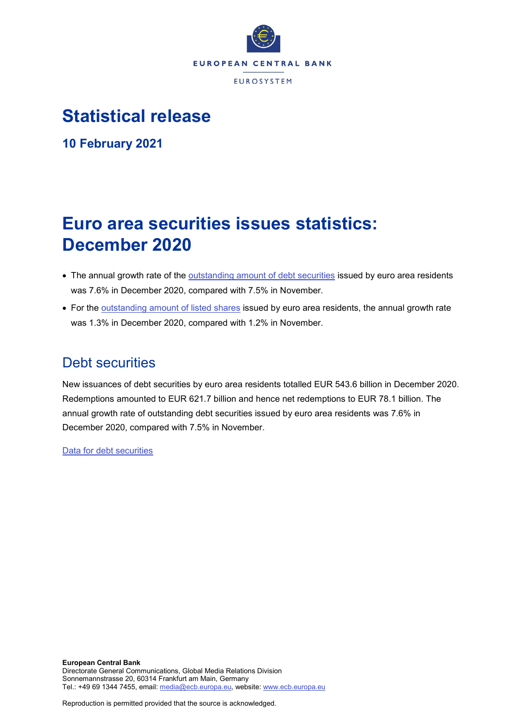

# **Statistical release**

**10 February 2021**

# **Euro area securities issues statistics: December 2020**

- The annual growth rate of the [outstanding amount of debt securities](http://sdw.ecb.europa.eu/quickview.do?SERIES_KEY=130.SEC.M.I8.1000.F33000.N.I.Z01.A.Z) issued by euro area residents was 7.6% in December 2020, compared with 7.5% in November.
- For the [outstanding amount of listed shares](http://sdw.ecb.europa.eu/quickview.do?SERIES_KEY=130.SEC.M.I8.1000.F51100.M.I.Z01.A.Z) issued by euro area residents, the annual growth rate was 1.3% in December 2020, compared with 1.2% in November.

# Debt securities

New issuances of debt securities by euro area residents totalled EUR 543.6 billion in December 2020. Redemptions amounted to EUR 621.7 billion and hence net redemptions to EUR 78.1 billion. The annual growth rate of outstanding debt securities issued by euro area residents was 7.6% in December 2020, compared with 7.5% in November.

[Data for debt securities](http://sdw.ecb.europa.eu/browseSelection.do?type=series&q=SEC.M.I8.1000.F33000.N.2.Z01.E.Z%2c+SEC.M.I8.1000.F33000.N.3.Z01.E.Z%2c+SEC.M.I8.1000.F33000.N.4.Z01.E.Z%2c+SEC.M.I8.1000.F33000.N.I.Z01.A.Z&node=SEARCHRESULTS&ec=&oc=&rc=&cv=&pb=&dc=&df=)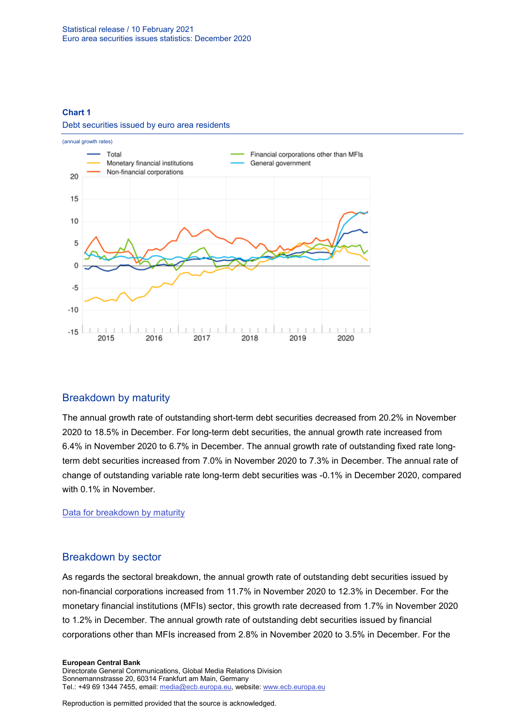#### **Chart 1**



<u> 1, 1, 1, 1, 1, 1,</u>

2017

 $\overline{\phantom{a}}$  $\perp$ 

2018

 $\mathbb{I}$ 

 $\mathbf{I}$  $\perp$ 

2019

 $\mathbf{I}$ 

ليلتلينا

2020

 $\overline{\phantom{a}}$ 

 $1 + 1 + 1 + 1$ 

2016

Debt securities issued by euro area residents

### Breakdown by maturity

 $\perp$  $\perp$  $\perp$ L

2015

 $-15$ 

The annual growth rate of outstanding short-term debt securities decreased from 20.2% in November 2020 to 18.5% in December. For long-term debt securities, the annual growth rate increased from 6.4% in November 2020 to 6.7% in December. The annual growth rate of outstanding fixed rate longterm debt securities increased from 7.0% in November 2020 to 7.3% in December. The annual rate of change of outstanding variable rate long-term debt securities was -0.1% in December 2020, compared with 0.1% in November.

[Data for breakdown by maturity](http://sdw.ecb.europa.eu/browseSelection.do?type=series&q=SEC.M.I8.1000.F33100.N.I.Z01.A.Z%2c+SEC.M.I8.1000.F33200.N.I.Z01.A.Z%2c+SEC.M.I8.1000.F33201.N.I.Z01.A.Z%2c+SEC.M.I8.1000.F33202.N.I.Z01.A.Z&node=SEARCHRESULTS&ec=&oc=&rc=&cv=&pb=&dc=&df=)

### Breakdown by sector

As regards the sectoral breakdown, the annual growth rate of outstanding debt securities issued by non-financial corporations increased from 11.7% in November 2020 to 12.3% in December. For the monetary financial institutions (MFIs) sector, this growth rate decreased from 1.7% in November 2020 to 1.2% in December. The annual growth rate of outstanding debt securities issued by financial corporations other than MFIs increased from 2.8% in November 2020 to 3.5% in December. For the

#### **European Central Bank** Directorate General Communications, Global Media Relations Division Sonnemannstrasse 20, 60314 Frankfurt am Main, Germany Tel.: +49 69 1344 7455, email[: media@ecb.europa.eu,](mailto:media@ecb.europa.eu) website: www.ecb.europa.eu

Reproduction is permitted provided that the source is acknowledged.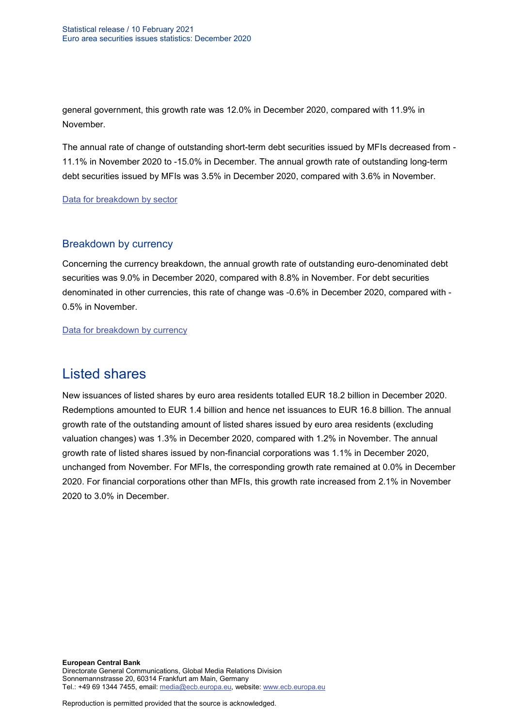general government, this growth rate was 12.0% in December 2020, compared with 11.9% in November.

The annual rate of change of outstanding short-term debt securities issued by MFIs decreased from - 11.1% in November 2020 to -15.0% in December. The annual growth rate of outstanding long-term debt securities issued by MFIs was 3.5% in December 2020, compared with 3.6% in November.

[Data for breakdown by sector](http://sdw.ecb.europa.eu/browseSelection.do?type=series&q=SEC.M.I8.1100.F33000.N.I.Z01.A.Z%2cSEC.M.I8.1220.F33000.N.I.Z01.A.Z%2cSEC.M.I8.1235.F33000.N.I.Z01.A.Z%2cSEC.M.I8.1300.F33000.N.I.Z01.A.Z%2cSEC.M.I8.1220.F33100.N.I.Z01.A.Z%2cSEC.M.I8.1220.F33200.N.I.Z01.A.Z&node=SEARCHRESULTS&ec=&oc=&rc=&cv=&pb=&dc=&df=)

### Breakdown by currency

Concerning the currency breakdown, the annual growth rate of outstanding euro-denominated debt securities was 9.0% in December 2020, compared with 8.8% in November. For debt securities denominated in other currencies, this rate of change was -0.6% in December 2020, compared with - 0.5% in November.

[Data for breakdown by currency](http://sdw.ecb.europa.eu/browseSelection.do?type=series&q=SEC.M.I8.1000.F33000.N.I.EUR.A.Z%2cSEC.M.I8.1000.F33000.N.I.Z06.A.Z&node=SEARCHRESULTS&ec=&oc=&rc=&cv=&pb=&dc=&df=)

## Listed shares

New issuances of listed shares by euro area residents totalled EUR 18.2 billion in December 2020. Redemptions amounted to EUR 1.4 billion and hence net issuances to EUR 16.8 billion. The annual growth rate of the outstanding amount of listed shares issued by euro area residents (excluding valuation changes) was 1.3% in December 2020, compared with 1.2% in November. The annual growth rate of listed shares issued by non-financial corporations was 1.1% in December 2020, unchanged from November. For MFIs, the corresponding growth rate remained at 0.0% in December 2020. For financial corporations other than MFIs, this growth rate increased from 2.1% in November 2020 to 3.0% in December.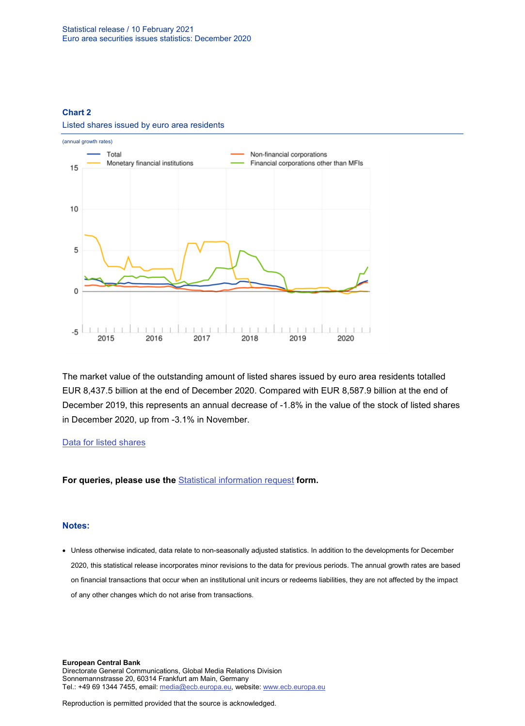#### **Chart 2**



Listed shares issued by euro area residents

The market value of the outstanding amount of listed shares issued by euro area residents totalled EUR 8,437.5 billion at the end of December 2020. Compared with EUR 8,587.9 billion at the end of December 2019, this represents an annual decrease of -1.8% in the value of the stock of listed shares in December 2020, up from -3.1% in November.

#### [Data for listed shares](http://sdw.ecb.europa.eu/browseSelection.do?type=series&q=SEC.M.I8.1000.F51100.M.2.Z01.E.Z%2cSEC.M.I8.1000.F51100.M.3.Z01.E.Z%2cSEC.M.I8.1000.F51100.M.4.Z01.E.Z%2cSEC.M.I8.1000.F51100.M.I.Z01.A.Z%2cSEC.M.I8.1100.F51100.M.I.Z01.A.Z%2cSEC.M.I8.1220.F51100.M.I.Z01.A.Z%2cSEC.M.I8.1235.F51100.M.I.Z01.A.Z%2cSEC.M.I8.1000.F51100.M.1.Z01.E.Z&node=SEARCHRESULTS&ec=&oc=&rc=&cv=&pb=&dc=&df=)

**For queries, please use the** [Statistical information request](https://ecb-registration.escb.eu/statistical-information) **form.**

#### **Notes:**

• Unless otherwise indicated, data relate to non-seasonally adjusted statistics. In addition to the developments for December 2020, this statistical release incorporates minor revisions to the data for previous periods. The annual growth rates are based on financial transactions that occur when an institutional unit incurs or redeems liabilities, they are not affected by the impact of any other changes which do not arise from transactions.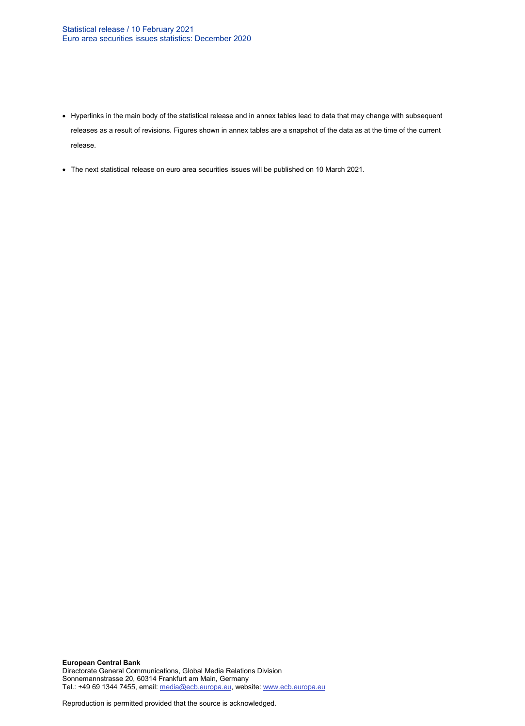- Hyperlinks in the main body of the statistical release and in annex tables lead to data that may change with subsequent releases as a result of revisions. Figures shown in annex tables are a snapshot of the data as at the time of the current release.
- The next statistical release on euro area securities issues will be published on 10 March 2021.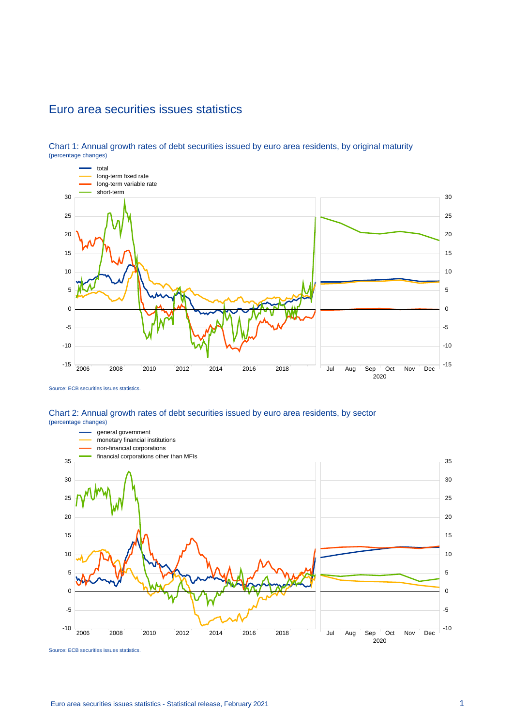## Euro area securities issues statistics



Chart 1: Annual growth rates of debt securities issued by euro area residents, by original maturity (percentage changes)

### Chart 2: Annual growth rates of debt securities issued by euro area residents, by sector (percentage changes)



Source: ECB securities issues statistics.

Source: ECB securities issues statistics.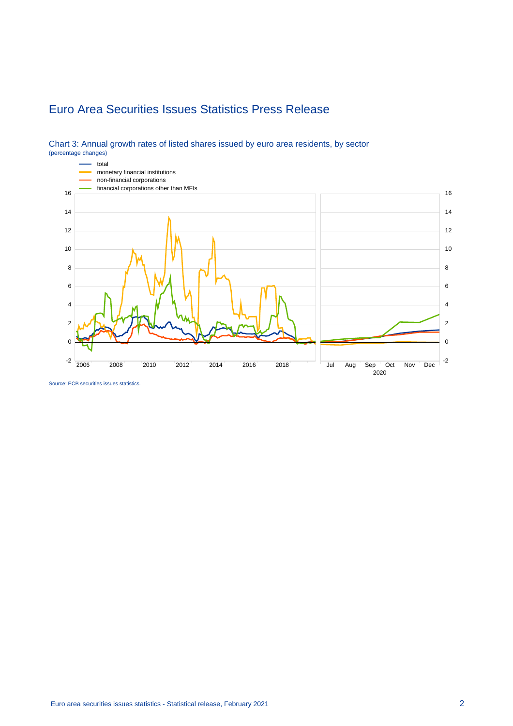# Euro Area Securities Issues Statistics Press Release



#### Chart 3: Annual growth rates of listed shares issued by euro area residents, by sector (percentage changes)

Source: ECB securities issues statistics.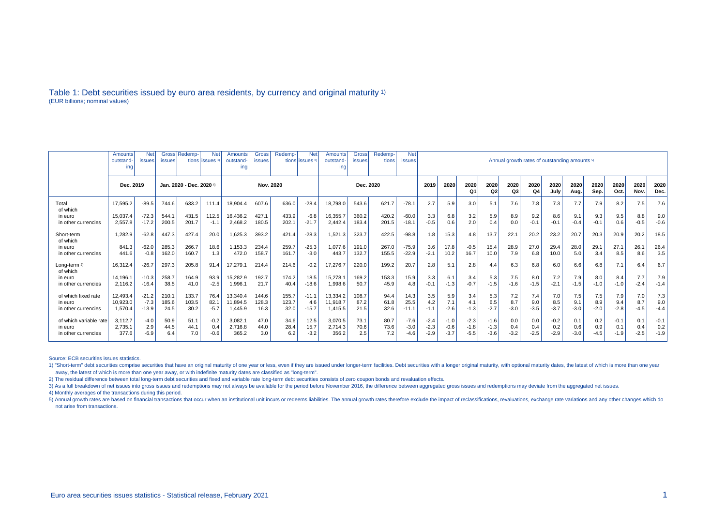#### Table 1: Debt securities issued by euro area residents, by currency and original maturity 1) (EUR billions; nominal values)

|                          | Gross Redemp-<br><b>Net</b><br><b>Net</b><br>Amounts<br>outstand<br>tions lissues <sup>3</sup><br><b>issues</b><br><b>issues</b><br>ing |         |                          |       |        | Redemp-<br><b>Gross</b><br>Redemp-<br>Gross<br><b>Net</b><br>Amounts<br><b>Amounts</b><br>outstand-<br>outstand-<br>tions issues <sup>3</sup><br>tions<br><b>issues</b><br>issues<br>ing<br>ına |       |       |           |          |       |       |         | <b>Net</b><br>Annual growth rates of outstanding amounts <sup>5)</sup><br><b>issues</b> |            |                        |            |            |              |              |              |              |              |              |        |
|--------------------------|-----------------------------------------------------------------------------------------------------------------------------------------|---------|--------------------------|-------|--------|-------------------------------------------------------------------------------------------------------------------------------------------------------------------------------------------------|-------|-------|-----------|----------|-------|-------|---------|-----------------------------------------------------------------------------------------|------------|------------------------|------------|------------|--------------|--------------|--------------|--------------|--------------|--------------|--------|
|                          | Dec. 2019                                                                                                                               |         | Jan. 2020 - Dec. 2020 4) |       |        | Nov. 2020                                                                                                                                                                                       |       |       | Dec. 2020 |          |       |       | 2019    | 2020                                                                                    | 2020<br>Q1 | 2020<br>Q <sub>2</sub> | 2020<br>Q3 | 2020<br>Q4 | 2020<br>July | 2020<br>Aug. | 2020<br>Sep. | 2020<br>Oct. | 2020<br>Nov. | 2020<br>Dec. |        |
| Total<br>of which        | 17.595.2                                                                                                                                | $-89.5$ | 744.6                    | 633.2 | 111.4  | 18,904.4                                                                                                                                                                                        | 607.6 | 636.0 | $-28.4$   | 18,798.0 | 543.6 | 621.7 | $-78.1$ | 2.7                                                                                     | 5.9        | 3.0                    | 5.1        | 7.6        | 7.8          | 7.3          | 7.7          | 7.9          | 8.2          | 7.5          | 7.6    |
| in euro                  | 15.037.4                                                                                                                                | $-72.3$ | 544.1                    | 431.5 | 112.5  | 16,436.2                                                                                                                                                                                        | 427.1 | 433.9 | $-6.8$    | 16,355.7 | 360.2 | 420.2 | $-60.0$ | 3.3                                                                                     | 6.8        | 3.2                    | 5.9        | 8.9        | 9.2          | 8.6          | 9.1          | 9.3          | 9.5          | 8.8          | 9.0    |
| in other currencies      | 2.557.8                                                                                                                                 | $-17.2$ | 200.5                    | 201.7 | $-1.1$ | 2,468.2                                                                                                                                                                                         | 180.5 | 202.1 | $-21.7$   | 2.442.4  | 183.4 | 201.5 | $-18.1$ | $-0.5$                                                                                  | 0.6        | 2.0                    | 0.4        | 0.0        | $-0.1$       | $-0.1$       | $-0.4$       | $-0.1$       | 0.6          | $-0.5$       | $-0.6$ |
| Short-term<br>of which   | 1,282.9                                                                                                                                 | $-62.8$ | 447.3                    | 427.4 | 20.0   | 1,625.3                                                                                                                                                                                         | 393.2 | 421.4 | $-28.3$   | 1,521.3  | 323.7 | 422.5 | $-98.8$ | 1.8                                                                                     | 15.3       | 4.8                    | 13.7       | 22.1       | 20.2         | 23.2         | 20.7         | 20.3         | 20.9         | 20.2         | 18.5   |
| in euro                  | 841.3                                                                                                                                   | $-62.0$ | 285.3                    | 266.7 | 18.6   | 1,153.3                                                                                                                                                                                         | 234.4 | 259.7 | $-25.3$   | 1,077.6  | 191.0 | 267.0 | $-75.9$ | 3.6                                                                                     | 17.8       | $-0.5$                 | 15.4       | 28.9       | 27.0         | 29.4         | 28.0         | 29.1         | 27.1         | 26.1         | 26.4   |
| in other currencies      | 441.6                                                                                                                                   | $-0.8$  | 162.0                    | 160.7 | 1.3    | 472.0                                                                                                                                                                                           | 158.7 | 161.7 | $-3.0$    | 443.7    | 132.7 | 155.5 | $-22.9$ | $-2.1$                                                                                  | 10.2       | 16.7                   | 10.0       | 7.9        | 6.8          | 10.0         | 5.0          | 3.4          | 8.5          | 8.6          | 3.5    |
| Long-term 2)<br>of which | 16.312.4                                                                                                                                | $-26.7$ | 297.3                    | 205.8 | 91.4   | 17,279.1                                                                                                                                                                                        | 214.4 | 214.6 | $-0.2$    | 17,276.7 | 220.0 | 199.2 | 20.7    | 2.8                                                                                     | 5.1        | 2.8                    | 4.4        | 6.3        | 6.8          | 6.0          | 6.6          | 6.8          | 7.1          | 6.4          | 6.7    |
| in euro                  | 14.196.1                                                                                                                                | $-10.3$ | 258.7                    | 164.9 | 93.9   | 15,282.9                                                                                                                                                                                        | 192.7 | 174.2 | 18.5      | 15,278.1 | 169.2 | 153.3 | 15.9    | 3.3                                                                                     | 6.1        | 3.4                    | 5.3        | 7.5        | 8.0          | 7.2          | 7.9          | 8.0          | 8.4          | 7.7          | 7.9    |
| in other currencies      | 2.116.2                                                                                                                                 | $-16.4$ | 38.5                     | 41.0  | $-2.5$ | 1,996.1                                                                                                                                                                                         | 21.7  | 40.4  | $-18.6$   | 1,998.6  | 50.7  | 45.9  | 4.8     | $-0.1$                                                                                  | $-1.3$     | $-0.7$                 | $-1.5$     | $-1.6$     | $-1.5$       | $-2.1$       | $-1.5$       | $-1.0$       | $-1.0$       | $-2.4$       | $-1.4$ |
| of which fixed rate      | 12.493.4                                                                                                                                | $-21.2$ | 210.1                    | 133.7 | 76.4   | 13.340.4                                                                                                                                                                                        | 144.6 | 155.7 | $-11.1$   | 13.334.2 | 108.7 | 94.4  | 14.3    | 3.5                                                                                     | 5.9        | 3.4                    | 5.3        | 7.2        | 7.4          | 7.0          | 7.5          | 7.5          | 7.9          | 7.0          | 7.3    |
| in euro                  | 10.923.0                                                                                                                                | $-7.3$  | 185.6                    | 103.5 | 82.1   | 11,894.5                                                                                                                                                                                        | 128.3 | 123.7 | 4.6       | 11,918.7 | 87.2  | 61.8  | 25.5    | 4.2                                                                                     | 7.1        | 4.1                    | 6.5        | 8.7        | 9.0          | 8.5          | 9.1          | 8.9          | 9.4          | 8.7          | 9.0    |
| in other currencies      | 1.570.4                                                                                                                                 | $-13.9$ | 24.5                     | 30.2  | $-5.7$ | 1.445.9                                                                                                                                                                                         | 16.3  | 32.0  | $-15.7$   | 1.415.5  | 21.5  | 32.6  | $-11.1$ | $-1.1$                                                                                  | $-2.6$     | $-1.3$                 | $-2.7$     | $-3.0$     | $-3.5$       | $-3.7$       | $-3.0$       | $-2.0$       | $-2.8$       | $-4.5$       | $-4.4$ |
| of which variable rate   | 3,112.7                                                                                                                                 | $-4.0$  | 50.9                     | 51.1  | $-0.2$ | 3,082.1                                                                                                                                                                                         | 47.0  | 34.6  | 12.5      | 3,070.5  | 73.1  | 80.7  | $-7.6$  | $-2.4$                                                                                  | $-1.0$     | $-2.3$                 | $-1.6$     | 0.0        | 0.0          | $-0.2$       | 0.1          | 0.2          | $-0.1$       | 0.1          | $-0.1$ |
| in euro                  | 2,735.1                                                                                                                                 | 2.9     | 44.5                     | 44.1  | 0.4    | 2,716.8                                                                                                                                                                                         | 44.0  | 28.4  | 15.7      | 2,714.3  | 70.6  | 73.6  | $-3.0$  | $-2.3$                                                                                  | $-0.6$     | $-1.8$                 | $-1.3$     | 0.4        | 0.4          | 0.2          | 0.6          | 0.9          | 0.1          | 0.4          | 0.2    |
| in other currencies      | 377.6                                                                                                                                   | $-6.9$  | 6.4                      | 7.0   | $-0.6$ | 365.2                                                                                                                                                                                           | 3.0   | 6.2   | $-3.2$    | 356.2    | 2.5   | 7.2   | $-4.6$  | $-2.9$                                                                                  | $-3.7$     | $-5.5$                 | $-3.6$     | $-3.2$     | $-2.5$       | $-2.9$       | $-3.0$       | $-4.5$       | $-1.9$       | $-2.5$       | $-1.9$ |

Source: ECB securities issues statistics.

1) "Short-term" debt securities comprise securities that have an original maturity of one year or less, even if they are issued under longer-term facilities. Debt securities with a longer original maturity, with optional m away, the latest of which is more than one year away, or with indefinite maturity dates are classified as "long-term".

2) The residual difference between total long-term debt securities and fixed and variable rate long-term debt securities consists of zero coupon bonds and revaluation effects.

3) As a full breakdown of net issues into gross issues and redemptions may not always be available for the period before November 2016, the difference between aggregated gross issues and redemptions may deviate from the ag

4) Monthly averages of the transactions during this period.

5) Annual growth rates are based on financial transactions that occur when an institutional unit incurs or redeems liabilities. The annual growth rates therefore exclude the impact of reclassifications, revaluations, excha not arise from transactions.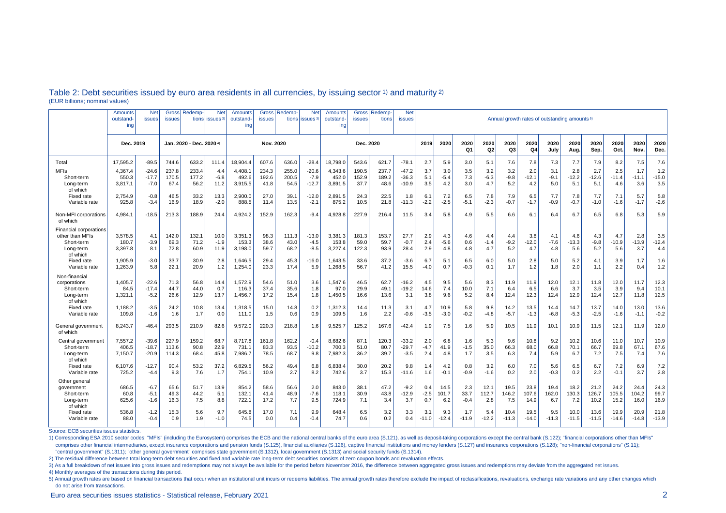|                                                                                  | Amounts<br>outstand-<br>ing | <b>Net</b><br>issues          | Gross<br><b>issues</b>  | Redemp-<br>tions         | <b>Net</b><br>issues <sup>3</sup> | Amounts<br>outstand<br>ing  | <b>Gross</b><br><b>issues</b> | <b>Redemp-</b>         | <b>Net</b><br>tions lissues <sup>3</sup> | Amounts<br>outstand-<br>ing | <b>Gross</b><br><b>issues</b> | Redemp<br>tions        | <b>Net</b><br><b>issues</b>   | Annual growth rates of outstanding amounts <sup>5)</sup> |                      |                        |                      |                      |                       |                      |                       |                       |                       |                       |                       |
|----------------------------------------------------------------------------------|-----------------------------|-------------------------------|-------------------------|--------------------------|-----------------------------------|-----------------------------|-------------------------------|------------------------|------------------------------------------|-----------------------------|-------------------------------|------------------------|-------------------------------|----------------------------------------------------------|----------------------|------------------------|----------------------|----------------------|-----------------------|----------------------|-----------------------|-----------------------|-----------------------|-----------------------|-----------------------|
|                                                                                  | Dec. 2019                   |                               |                         | Jan. 2020 - Dec. 2020 4) |                                   | Nov. 2020                   |                               |                        | Dec. 2020                                |                             |                               |                        | 2019                          | 2020                                                     | 2020<br>Q1           | 2020<br>Q <sub>2</sub> | 2020<br>Q3           | 2020<br>Q4           | 2020<br>July          | 2020<br>Aug.         | 2020<br>Sep.          | 2020<br>Oct.          | 2020<br>Nov.          | 2020<br>Dec.          |                       |
| Total                                                                            | 17.595.2                    | $-89.5$                       | 744.6                   | 633.2                    | 111.4                             | 8.904.4                     | 607.6                         | 636.0                  | $-28.4$                                  | 18.798.0                    | 543.6                         | 621.7                  | $-78.1$                       | 2.7                                                      | 5.9                  | 3.0                    | 5.1                  | 7.6                  | 7.8                   | 7.3                  | 7.7                   | 7.9                   | 8.2                   | 7.5                   | 7.6                   |
| <b>MFIs</b><br>Short-term<br>Long-term<br>of which                               | 4,367.4<br>550.3<br>3,817.1 | $-24.6$<br>$-17.7$<br>$-7.0$  | 237.8<br>170.5<br>67.4  | 233.4<br>177.2<br>56.2   | 4.4<br>$-6.8$<br>11.2             | 4,408.<br>492.6<br>3,915.5  | 234.3<br>192.6<br>41.8        | 255.0<br>200.5<br>54.5 | $-20.6$<br>$-7.9$<br>$-12.7$             | 4,343.6<br>452.0<br>3,891.5 | 190.5<br>152.9<br>37.7        | 237.7<br>189.2<br>48.6 | $-47.2$<br>$-36.3$<br>$-10.9$ | 3.7<br>5.1<br>3.5                                        | 3.0<br>-5.4<br>4.2   | 3.5<br>7.3<br>3.0      | 3.2<br>$-6.3$<br>4.7 | 3.2<br>$-9.8$<br>5.2 | 2.0<br>$-12.1$<br>4.2 | 3.1<br>$-9.1$<br>5.0 | 2.8<br>$-12.2$<br>5.1 | 2.7<br>$-12.6$<br>5.1 | 2.5<br>$-11.4$<br>4.6 | 1.7<br>$-11.1$<br>3.6 | 1.2<br>$-15.0$<br>3.5 |
| Fixed rate<br>Variable rate                                                      | 2.754.9<br>925.8            | $-0.8$<br>$-3.4$              | 46.5<br>16.9            | 33.2<br>18.9             | 13.3<br>$-2.0$                    | 2,900.0<br>888.5            | 27.0<br>11.4                  | 39.1<br>13.5           | $-12.0$<br>$-2.1$                        | 2,891.5<br>875.2            | 24.3<br>10.5                  | 22.5<br>21.8           | 1.8<br>$-11.3$                | 6.1<br>$-2.2$                                            | 7.2<br>$-2.5$        | 6.5<br>$-5.1$          | 7.8<br>$-2.3$        | 7.9<br>$-0.7$        | 6.5<br>$-1.7$         | 7.7<br>$-0.9$        | 7.8<br>$-0.7$         | 7.7<br>$-1.0$         | 7.1<br>$-1.6$         | 5.7<br>$-1.7$         | 5.8<br>$-2.6$         |
| Non-MFI corporations<br>of which                                                 | 4.984.                      | $-18.5$                       | 213.3                   | 188.9                    | 24.4                              | 4,924.2                     | 152.9                         | 162.3                  | $-9.4$                                   | 4.928.8                     | 227.9                         | 216.4                  | 11.5                          | 3.4                                                      | 5.8                  | 4.9                    | 5.5                  | 6.6                  | 6.1                   | 6.4                  | 6.7                   | 6.5                   | 6.8                   | 5.3                   | 5.9                   |
| Financial corporations<br>other than MFIs<br>Short-term<br>Long-term<br>of which | 3.578.5<br>180.7<br>3.397.8 | 4.1<br>$-3.9$<br>8.1          | 142.0<br>69.3<br>72.8   | 132.1<br>71.2<br>60.9    | 10.0<br>$-1.9$<br>11.9            | 3,351.3<br>153.3<br>3,198.0 | 98.3<br>38.6<br>59.7          | 111.3<br>43.0<br>68.2  | $-13.0$<br>-4.5<br>$-8.5$                | 3.381.3<br>153.8<br>3,227.4 | 181.3<br>59.0<br>122.3        | 153.7<br>59.7<br>93.9  | 27.7<br>$-0.7$<br>28.4        | 2.9<br>2.4<br>2.9                                        | 4.3<br>-5.6<br>4.8   | 4.6<br>0.6<br>4.8      | 4.4<br>$-1.4$<br>4.7 | 4.4<br>$-9.2$<br>5.2 | 3.8<br>$-12.0$<br>4.7 | 4.1<br>$-7.6$<br>4.8 | 4.6<br>$-13.3$<br>5.6 | 4.3<br>$-9.8$<br>5.2  | 4.7<br>$-10.9$<br>5.6 | 2.8<br>$-13.9$<br>3.7 | 3.5<br>$-12.4$<br>4.4 |
| <b>Fixed rate</b><br>Variable rate                                               | 1.905.9<br>1,263.9          | $-3.0$<br>5.8                 | 33.7<br>22.1            | 30.9<br>20.9             | 2.8<br>1.2                        | 1,646.5<br>1,254.0          | 29.4<br>23.3                  | 45.3<br>17.4           | $-16.0$<br>5.9                           | 1.643.5<br>1,268.5          | 33.6<br>56.7                  | 37.2<br>41.2           | $-3.6$<br>15.5                | 6.7<br>$-4.0$                                            | 5.1<br>0.7           | 6.5<br>$-0.3$          | 6.0<br>0.1           | 5.0<br>1.7           | 2.8<br>1.2            | 5.0<br>1.8           | 5.2<br>2.0            | 4.1<br>1.1            | 3.9<br>2.2            | 1.7<br>0.4            | 1.6<br>1.2            |
| Non-financial<br>corporations<br>Short-term<br>Long-term<br>of which             | 1,405.7<br>84.5<br>1,321.1  | $-22.6$<br>$-17.4$<br>$-5.2$  | 71.3<br>44.7<br>26.6    | 56.8<br>44.0<br>12.9     | 14.4<br>0.7<br>13.7               | 1,572.9<br>116.3<br>1,456.7 | 54.6<br>37.4<br>17.2          | 51.0<br>35.6<br>15.4   | 3.6<br>1.8<br>1.8                        | 1,547.6<br>97.0<br>1,450.5  | 46.5<br>29.9<br>16.6          | 62.7<br>49.1<br>13.6   | $-16.2$<br>$-19.2$<br>3.1     | 4.5<br>14.6<br>3.8                                       | 9.5<br>7.4<br>9.6    | 5.6<br>10.0<br>5.2     | 8.3<br>7.1<br>8.4    | 11.9<br>6.4<br>12.4  | 11.9<br>6.5<br>12.3   | 12.0<br>6.6<br>12.4  | 12.1<br>3.7<br>12.9   | 11.8<br>3.5<br>12.4   | 12.0<br>3.9<br>12.7   | 11.7<br>9.4<br>11.8   | 12.3<br>10.1<br>12.5  |
| Fixed rate<br>Variable rate                                                      | 1,188.2<br>109.8            | $-3.5$<br>$-1.6$              | 24.2<br>1.6             | 10.8<br>1.7              | 13.4<br>0.0                       | 1,318.5<br>111.0            | 15.0<br>1.5                   | 14.8<br>0.6            | 0.2<br>0.9                               | 1,312.3<br>109.5            | 14.4<br>1.6                   | 11.3<br>2.2            | 3.1<br>$-0.6$                 | 4.7<br>$-3.5$                                            | 10.9<br>$-3.0$       | 5.8<br>$-0.2$          | 9.8<br>$-4.8$        | 14.2<br>$-5.7$       | 13.5<br>$-1.3$        | 14.4<br>$-6.8$       | 14.7<br>$-5.3$        | 13.7<br>$-2.5$        | 14.0<br>$-1.6$        | 13.0<br>$-1.1$        | 13.6<br>$-0.2$        |
| General government<br>of which                                                   | 8,243.7                     | -46.4                         | 293.5                   | 210.9                    | 82.6                              | 9,572.0                     | 220.3                         | 218.8                  | 1.6                                      | 9,525.7                     | 125.2                         | 167.6                  | $-42.4$                       | 1.9                                                      | 7.5                  | 1.6                    | 5.9                  | 10.5                 | 11.9                  | 10.1                 | 10.9                  | 11.5                  | 12.1                  | 11.9                  | 12.0                  |
| Central government<br>Short-term<br>Long-term<br>of which                        | 7,557.2<br>406.5<br>7,150.7 | $-39.6$<br>$-18.7$<br>$-20.9$ | 227.9<br>113.6<br>114.3 | 159.2<br>90.8<br>68.4    | 68.7<br>22.9<br>45.8              | 8,717.8<br>731.1<br>7,986.7 | 161.8<br>83.3<br>78.5         | 162.2<br>93.5<br>68.7  | $-0.4$<br>$-10.2$<br>9.8                 | 8.682.6<br>700.3<br>7,982.3 | 87.1<br>51.0<br>36.2          | 120.3<br>80.7<br>39.7  | $-33.2$<br>$-29.7$<br>$-3.5$  | 2.0<br>$-4.7$<br>2.4                                     | 6.8<br>41.9<br>4.8   | 1.6<br>$-1.5$<br>1.7   | 5.3<br>35.0<br>3.5   | 9.6<br>66.3<br>6.3   | 10.8<br>68.0<br>7.4   | 9.2<br>66.8<br>5.9   | 10.2<br>70.1<br>6.7   | 10.6<br>66.7<br>7.2   | 11.0<br>69.8<br>7.5   | 10.7<br>67.1<br>7.4   | 10.9<br>67.6<br>7.6   |
| Fixed rate<br>Variable rate                                                      | 6,107.6<br>725.2            | $-12.7$<br>$-4.4$             | 90.4<br>9.3             | 53.2<br>7.6              | 37.2<br>1.7                       | 6,829.5<br>754.1            | 56.2<br>10.9                  | 49.4<br>2.7            | 6.8<br>8.2                               | 6,838.4<br>742.6            | 30.0<br>3.7                   | 20.2<br>15.3           | 9.8<br>$-11.6$                | 1.4<br>1.6                                               | 4.2<br>$-0.1$        | 0.8<br>$-0.9$          | 3.2<br>$-1.6$        | 6.0<br>0.2           | 7.0<br>2.0            | 5.6<br>$-0.3$        | 6.5<br>0.2            | 6.7<br>2.2            | 7.2<br>$-0.1$         | 6.9<br>3.7            | 7.2<br>2.8            |
| Other genera<br>government<br>Short-term<br>Long-term<br>of which                | 686.5<br>60.8<br>625.6      | $-6.7$<br>$-5.1$<br>$-1.6$    | 65.6<br>49.3<br>16.3    | 51.7<br>44.2<br>7.5      | 13.9<br>5.1<br>8.8                | 854.2<br>132.1<br>722.1     | 58.6<br>41.4<br>17.2          | 56.6<br>48.9<br>7.7    | 2.0<br>$-7.6$<br>9.5                     | 843.0<br>118.1<br>724.9     | 38.1<br>30.9<br>7.1           | 47.2<br>43.8<br>3.4    | $-9.2$<br>$-12.9$<br>3.7      | 0.4<br>$-2.5$<br>0.7                                     | 14.5<br>101.7<br>6.2 | 2.3<br>33.7<br>$-0.4$  | 12.1<br>112.7<br>2.8 | 19.5<br>146.2<br>7.5 | 23.8<br>107.6<br>14.9 | 19.4<br>162.0<br>6.7 | 18.2<br>130.3<br>7.2  | 21.2<br>126.7<br>10.2 | 24.2<br>105.5<br>15.2 | 24.4<br>104.2<br>16.0 | 24.3<br>99.7<br>16.9  |
| <b>Fixed rate</b><br>Variable rate                                               | 536.8<br>88.0               | $-1.2$<br>$-0.4$              | 15.3<br>0.9             | 5.6<br>1.9               | 9.7<br>$-1.0$                     | 645.8<br>74.5               | 17.0<br>0.0                   | 7.1<br>0.4             | 9.9<br>$-0.4$                            | 648.4<br>74.7               | 6.5<br>0.6                    | 3.2<br>0.2             | 3.3<br>0.4                    | 3.1<br>$-11.0$                                           | 9.3<br>$-12.4$       | 1.7<br>$-11.9$         | 5.4<br>$-12.2$       | 10.4<br>$-11.3$      | 19.5<br>$-14.0$       | 9.5<br>$-11.3$       | 10.0<br>$-11.5$       | 13.6<br>$-11.5$       | 19.9<br>$-14.6$       | 20.9<br>$-14.8$       | 21.8<br>$-13.9$       |

#### Table 2: Debt securities issued by euro area residents in all currencies, by issuing sector 1) and maturity 2) (EUR billions; nominal values)

Source: ECB securities issues statistics.

1) Corresponding ESA 2010 sector codes: "MFIs" (including the Eurosystem) comprises the ECB and the national central banks of the euro area (S.121), as well as deposit-taking corporations except the central bank (S.122); " comprises other financial intermediaries, except insurance corporations and pension funds (S.125), financial auxiliaries (S.126), captive financial institutions and money lenders (S.127) and insurance corporations (S.128); "central government" (S.1311); "other general government" comprises state government (S.1312), local government (S.1313) and social security funds (S.1314).

2) The residual difference between total long-term debt securities and fixed and variable rate long-term debt securities consists of zero coupon bonds and revaluation effects.

3) As a full breakdown of net issues into gross issues and redemptions may not always be available for the period before November 2016, the difference between aggregated gross issues and redemptions may deviate from the ag

4) Monthly averages of the transactions during this period.

5) Annual growth rates are based on financial transactions that occur when an institutional unit incurs or redeems liabilities. The annual growth rates therefore exclude the impact of reclassifications, revaluations, excha do not arise from transactions.